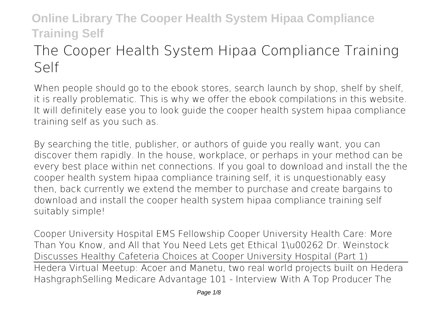# **The Cooper Health System Hipaa Compliance Training Self**

When people should go to the ebook stores, search launch by shop, shelf by shelf, it is really problematic. This is why we offer the ebook compilations in this website. It will definitely ease you to look guide **the cooper health system hipaa compliance training self** as you such as.

By searching the title, publisher, or authors of guide you really want, you can discover them rapidly. In the house, workplace, or perhaps in your method can be every best place within net connections. If you goal to download and install the the cooper health system hipaa compliance training self, it is unquestionably easy then, back currently we extend the member to purchase and create bargains to download and install the cooper health system hipaa compliance training self suitably simple!

*Cooper University Hospital EMS Fellowship* **Cooper University Health Care: More Than You Know, and All that You Need Lets get Ethical 1\u00262** *Dr. Weinstock Discusses Healthy Cafeteria Choices at Cooper University Hospital (Part 1)* Hedera Virtual Meetup: Acoer and Manetu, two real world projects built on Hedera Hashgraph**Selling Medicare Advantage 101 - Interview With A Top Producer** *The*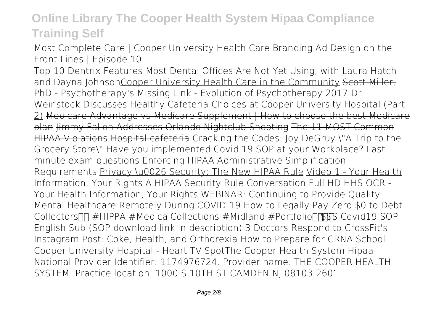*Most Complete Care | Cooper University Health Care Branding Ad Design on the Front Lines | Episode 10*

Top 10 Dentrix Features Most Dental Offices Are Not Yet Using, with Laura Hatch and Dayna JohnsonCooper University Health Care in the Community Scott Miller, PhD - Psychotherapy's Missing Link - Evolution of Psychotherapy 2017 Dr. Weinstock Discusses Healthy Cafeteria Choices at Cooper University Hospital (Part 2) Medicare Advantage vs Medicare Supplement | How to choose the best Medicare plan Jimmy Fallon Addresses Orlando Nightclub Shooting The 11 MOST Common HIPAA Violations Hospital cafeteria **Cracking the Codes: Joy DeGruy \"A Trip to the Grocery Store\" Have you implemented Covid 19 SOP at your Workplace? Last minute exam questions** *Enforcing HIPAA Administrative Simplification Requirements* Privacy \u0026 Security: The New HIPAA Rule Video 1 - Your Health Information, Your Rights *A HIPAA Security Rule Conversation Full HD* HHS OCR - Your Health Information, Your Rights *WEBINAR: Continuing to Provide Quality Mental Healthcare Remotely During COVID-19 How to Legally Pay Zero \$0 to Debt Collectors*  $\Box \Box \#$  *HIPPA #MedicalCollections #Midland #Portfolio*  $\Box$  **SSS** Covid 19 SOP *English Sub (SOP download link in description) 3 Doctors Respond to CrossFit's Instagram Post: Coke, Health, and Orthorexia How to Prepare for CRNA School* Cooper University Hospital - Heart TV Spot**The Cooper Health System Hipaa** National Provider Identifier: 1174976724. Provider name: THE COOPER HEALTH SYSTEM. Practice location: 1000 S 10TH ST CAMDEN NJ 08103-2601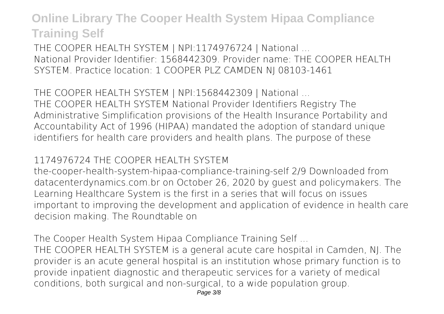**THE COOPER HEALTH SYSTEM | NPI:1174976724 | National ...** National Provider Identifier: 1568442309. Provider name: THE COOPER HEALTH SYSTEM. Practice location: 1 COOPER PLZ CAMDEN NJ 08103-1461

**THE COOPER HEALTH SYSTEM | NPI:1568442309 | National ...** THE COOPER HEALTH SYSTEM National Provider Identifiers Registry The Administrative Simplification provisions of the Health Insurance Portability and Accountability Act of 1996 (HIPAA) mandated the adoption of standard unique identifiers for health care providers and health plans. The purpose of these

#### **1174976724 THE COOPER HEALTH SYSTEM**

the-cooper-health-system-hipaa-compliance-training-self 2/9 Downloaded from datacenterdynamics.com.br on October 26, 2020 by guest and policymakers. The Learning Healthcare System is the first in a series that will focus on issues important to improving the development and application of evidence in health care decision making. The Roundtable on

**The Cooper Health System Hipaa Compliance Training Self ...**

THE COOPER HEALTH SYSTEM is a general acute care hospital in Camden, NJ. The provider is an acute general hospital is an institution whose primary function is to provide inpatient diagnostic and therapeutic services for a variety of medical conditions, both surgical and non-surgical, to a wide population group.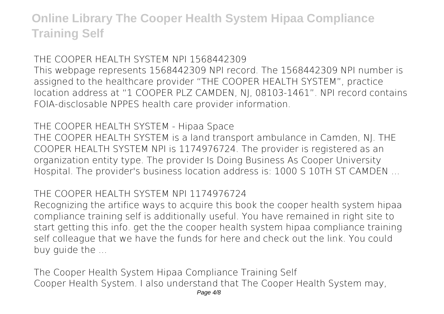#### **THE COOPER HEALTH SYSTEM NPI 1568442309**

This webpage represents 1568442309 NPI record. The 1568442309 NPI number is assigned to the healthcare provider "THE COOPER HEALTH SYSTEM", practice location address at "1 COOPER PLZ CAMDEN, NJ, 08103-1461". NPI record contains FOIA-disclosable NPPES health care provider information.

#### **THE COOPER HEALTH SYSTEM - Hipaa Space**

THE COOPER HEALTH SYSTEM is a land transport ambulance in Camden, NJ. THE COOPER HEALTH SYSTEM NPI is 1174976724. The provider is registered as an organization entity type. The provider Is Doing Business As Cooper University Hospital. The provider's business location address is: 1000 S 10TH ST CAMDEN ...

#### **THE COOPER HEALTH SYSTEM NPI 1174976724**

Recognizing the artifice ways to acquire this book the cooper health system hipaa compliance training self is additionally useful. You have remained in right site to start getting this info. get the the cooper health system hipaa compliance training self colleague that we have the funds for here and check out the link. You could buy guide the ...

**The Cooper Health System Hipaa Compliance Training Self** Cooper Health System. I also understand that The Cooper Health System may,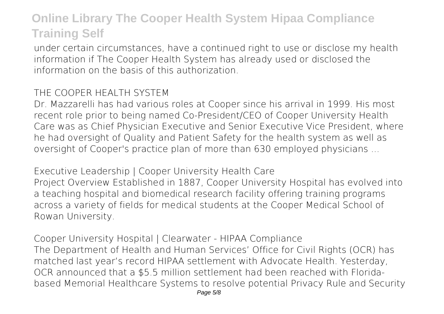under certain circumstances, have a continued right to use or disclose my health information if The Cooper Health System has already used or disclosed the information on the basis of this authorization.

#### **THE COOPER HEALTH SYSTEM**

Dr. Mazzarelli has had various roles at Cooper since his arrival in 1999. His most recent role prior to being named Co-President/CEO of Cooper University Health Care was as Chief Physician Executive and Senior Executive Vice President, where he had oversight of Quality and Patient Safety for the health system as well as oversight of Cooper's practice plan of more than 630 employed physicians ...

**Executive Leadership | Cooper University Health Care** Project Overview Established in 1887, Cooper University Hospital has evolved into a teaching hospital and biomedical research facility offering training programs across a variety of fields for medical students at the Cooper Medical School of Rowan University.

**Cooper University Hospital | Clearwater - HIPAA Compliance** The Department of Health and Human Services' Office for Civil Rights (OCR) has matched last year's record HIPAA settlement with Advocate Health. Yesterday, OCR announced that a \$5.5 million settlement had been reached with Floridabased Memorial Healthcare Systems to resolve potential Privacy Rule and Security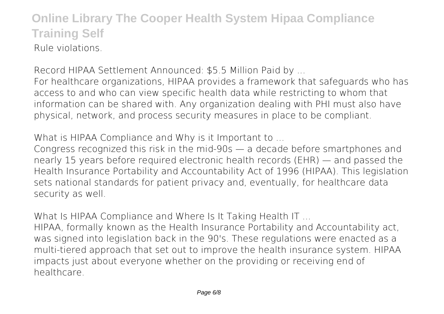### **Online Library The Cooper Health System Hipaa Compliance Training Self** Rule violations.

**Record HIPAA Settlement Announced: \$5.5 Million Paid by ...** For healthcare organizations, HIPAA provides a framework that safeguards who has access to and who can view specific health data while restricting to whom that information can be shared with. Any organization dealing with PHI must also have physical, network, and process security measures in place to be compliant.

**What is HIPAA Compliance and Why is it Important to ...**

Congress recognized this risk in the mid-90s — a decade before smartphones and nearly 15 years before required electronic health records (EHR) — and passed the Health Insurance Portability and Accountability Act of 1996 (HIPAA). This legislation sets national standards for patient privacy and, eventually, for healthcare data security as well.

**What Is HIPAA Compliance and Where Is It Taking Health IT ...**

HIPAA, formally known as the Health Insurance Portability and Accountability act, was signed into legislation back in the 90's. These regulations were enacted as a multi-tiered approach that set out to improve the health insurance system. HIPAA impacts just about everyone whether on the providing or receiving end of healthcare.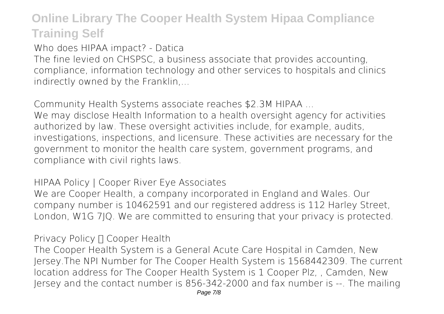**Who does HIPAA impact? - Datica**

The fine levied on CHSPSC, a business associate that provides accounting, compliance, information technology and other services to hospitals and clinics indirectly owned by the Franklin,...

**Community Health Systems associate reaches \$2.3M HIPAA ...**

We may disclose Health Information to a health oversight agency for activities authorized by law. These oversight activities include, for example, audits, investigations, inspections, and licensure. These activities are necessary for the government to monitor the health care system, government programs, and compliance with civil rights laws.

**HIPAA Policy | Cooper River Eye Associates**

We are Cooper Health, a company incorporated in England and Wales. Our company number is 10462591 and our registered address is 112 Harley Street, London, W1G 7JQ. We are committed to ensuring that your privacy is protected.

**Privacy Policy □ Cooper Health** 

The Cooper Health System is a General Acute Care Hospital in Camden, New Jersey.The NPI Number for The Cooper Health System is 1568442309. The current location address for The Cooper Health System is 1 Cooper Plz, , Camden, New Jersey and the contact number is 856-342-2000 and fax number is --. The mailing